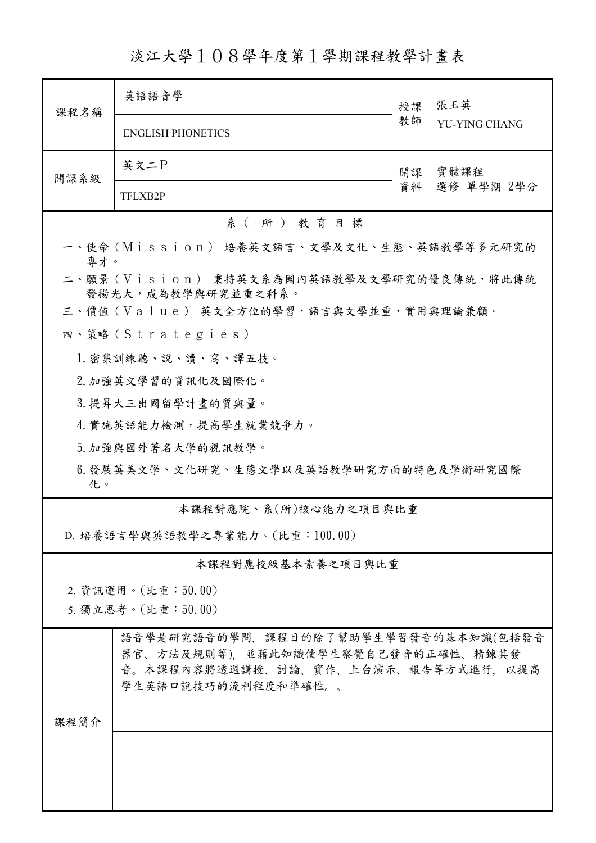淡江大學108學年度第1學期課程教學計畫表

| 課程名稱                                                           | 英語語音學                                                                                                                                    | 授課 | 張玉英<br><b>YU-YING CHANG</b> |  |  |
|----------------------------------------------------------------|------------------------------------------------------------------------------------------------------------------------------------------|----|-----------------------------|--|--|
|                                                                | <b>ENGLISH PHONETICS</b>                                                                                                                 | 教師 |                             |  |  |
| 開課系級                                                           | 英文二P                                                                                                                                     | 開課 | 實體課程                        |  |  |
|                                                                | TFLXB2P                                                                                                                                  | 資料 | 選修 單學期 2學分                  |  |  |
| 系(所)教育目標                                                       |                                                                                                                                          |    |                             |  |  |
| 專才。                                                            | 一、使命 (Mission) -培養英文語言、文學及文化、生態、英語教學等多元研究的                                                                                               |    |                             |  |  |
| 二、願景(Vision)-秉持英文系為國內英語教學及文學研究的優良傳統,將此傳統<br>發揚光大,成為教學與研究並重之科系。 |                                                                                                                                          |    |                             |  |  |
|                                                                | 三、價值 (Value)-英文全方位的學習,語言與文學並重,實用與理論兼顧。                                                                                                   |    |                             |  |  |
|                                                                | 四、策略 (Strategies) -                                                                                                                      |    |                             |  |  |
|                                                                | 1. 密集訓練聽、說、讀、寫、譯五技。                                                                                                                      |    |                             |  |  |
|                                                                | 2. 加強英文學習的資訊化及國際化。                                                                                                                       |    |                             |  |  |
|                                                                | 3. 提昇大三出國留學計畫的質與量。                                                                                                                       |    |                             |  |  |
|                                                                | 4. 實施英語能力檢測,提高學生就業競爭力。                                                                                                                   |    |                             |  |  |
|                                                                | 5. 加強與國外著名大學的視訊教學。                                                                                                                       |    |                             |  |  |
| 6. 發展英美文學、文化研究、生態文學以及英語教學研究方面的特色及學術研究國際<br>化。                  |                                                                                                                                          |    |                             |  |  |
| 本課程對應院、系(所)核心能力之項目與比重                                          |                                                                                                                                          |    |                             |  |  |
| D. 培養語言學與英語教學之專業能力。(比重:100.00)                                 |                                                                                                                                          |    |                             |  |  |
|                                                                | 本課程對應校級基本素養之項目與比重                                                                                                                        |    |                             |  |  |
| 2. 資訊運用。(比重:50.00)                                             |                                                                                                                                          |    |                             |  |  |
| 5. 獨立思考。(比重:50.00)                                             |                                                                                                                                          |    |                             |  |  |
| 課程簡介                                                           | 語音學是研究語音的學問,課程目的除了幫助學生學習發音的基本知識(包括發音<br>器官、方法及規則等),並藉此知識使學生察覺自己發音的正確性、精鍊其發<br>音。本課程內容將透過講授、討論、實作、上台演示、報告等方式進行,以提高<br>學生英語口說技巧的流利程度和準確性。。 |    |                             |  |  |
|                                                                |                                                                                                                                          |    |                             |  |  |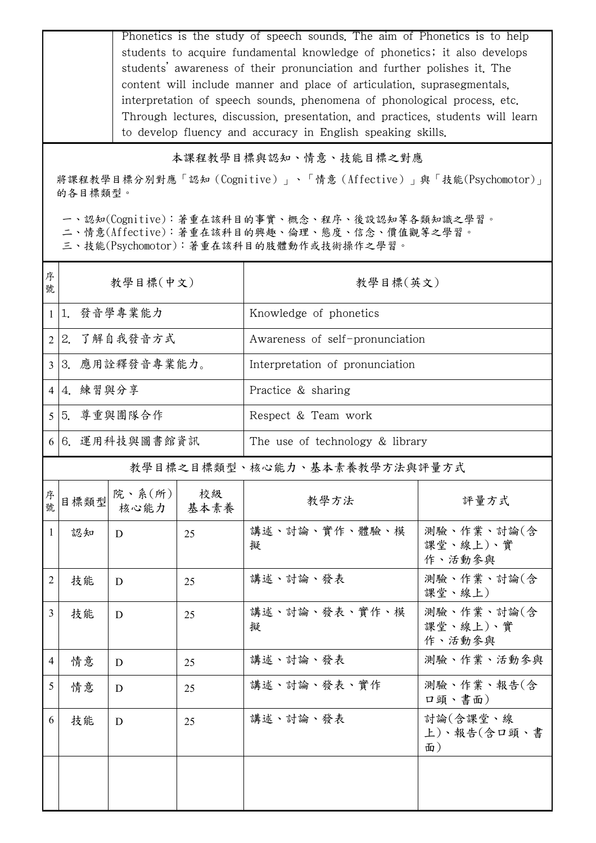Phonetics is the study of speech sounds. The aim of Phonetics is to help students to acquire fundamental knowledge of phonetics; it also develops students' awareness of their pronunciation and further polishes it. The content will include manner and place of articulation, suprasegmentals, interpretation of speech sounds, phenomena of phonological process, etc. Through lectures, discussion, presentation, and practices, students will learn to develop fluency and accuracy in English speaking skills.

本課程教學目標與認知、情意、技能目標之對應

將課程教學目標分別對應「認知(Cognitive)」、「情意(Affective)」與「技能(Psychomotor)」 的各目標類型。

一、認知(Cognitive):著重在該科目的事實、概念、程序、後設認知等各類知識之學習。

二、情意(Affective):著重在該科目的興趣、倫理、態度、信念、價值觀等之學習。

三、技能(Psychomotor):著重在該科目的肢體動作或技術操作之學習。

| 序<br>號         | 教學目標(中文)         |                           |            | 教學目標(英文)                        |                                  |  |
|----------------|------------------|---------------------------|------------|---------------------------------|----------------------------------|--|
|                | 1 1. 發音學專業能力     |                           |            | Knowledge of phonetics          |                                  |  |
| $\overline{2}$ | 2. 了解自我發音方式      |                           |            | Awareness of self-pronunciation |                                  |  |
|                | 3 3. 應用詮釋發音專業能力。 |                           |            | Interpretation of pronunciation |                                  |  |
|                | 4 4. 練習與分享       |                           |            | Practice & sharing              |                                  |  |
|                | 5 5. 尊重與團隊合作     |                           |            | Respect & Team work             |                                  |  |
|                | 6 6. 運用科技與圖書館資訊  |                           |            | The use of technology & library |                                  |  |
|                |                  |                           |            | 教學目標之目標類型、核心能力、基本素養教學方法與評量方式    |                                  |  |
| 序號             | 目標類型             | 院、系 $(\text{ff})$<br>核心能力 | 校級<br>基本素養 | 教學方法                            | 評量方式                             |  |
| 1              | 認知               | D                         | 25         | 講述、討論、實作、體驗、模<br>擬              | 測驗、作業、討論(含<br>課堂、線上)、實<br>作、活動參與 |  |
| 2              | 技能               | D                         | 25         | 講述、討論、發表                        | 測驗、作業、討論(含<br>課堂、線上)             |  |
| 3              | 技能               | D                         | 25         | 講述、討論、發表、實作、模<br>擬              | 測驗、作業、討論(含<br>課堂、線上)、實<br>作、活動參與 |  |
| 4              | 情意               | D                         | 25         | 講述、討論、發表                        | 測驗、作業、活動參與                       |  |
| 5              | 情意               | D                         | 25         | 講述、討論、發表、實作                     | 測驗、作業、報告(含<br>口頭、書面)             |  |
| 6              | 技能               | D                         | 25         | 講述、討論、發表                        | 討論(含課堂、線<br>上)、報告(含口頭、書<br>面)    |  |
|                |                  |                           |            |                                 |                                  |  |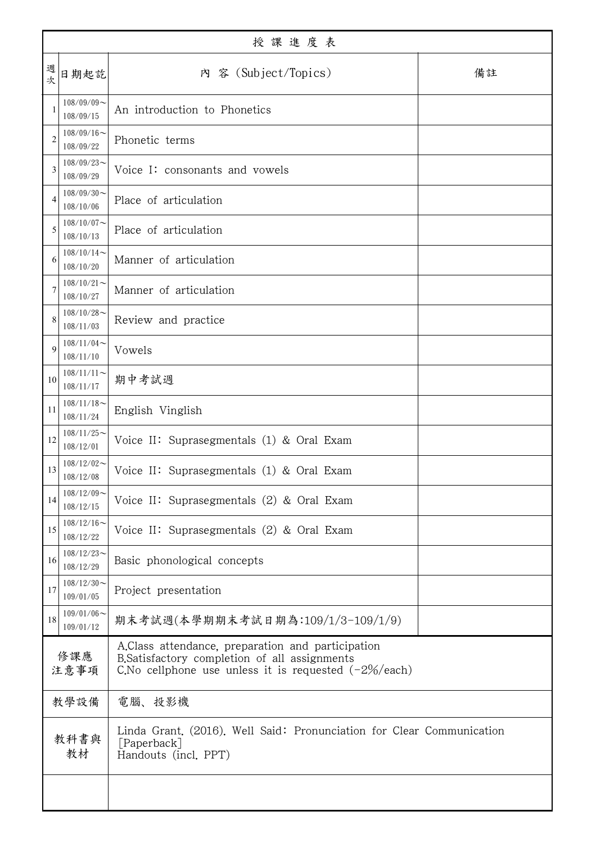|             | 授課進度表                      |                                                                                                                                                                 |    |  |  |  |  |
|-------------|----------------------------|-----------------------------------------------------------------------------------------------------------------------------------------------------------------|----|--|--|--|--|
| 週<br>次      | 日期起訖                       | 內 容 (Subject/Topics)                                                                                                                                            | 備註 |  |  |  |  |
| 1           | $108/09/09$ ~<br>108/09/15 | An introduction to Phonetics                                                                                                                                    |    |  |  |  |  |
| 2           | $108/09/16$ ~<br>108/09/22 | Phonetic terms                                                                                                                                                  |    |  |  |  |  |
| 3           | $108/09/23$ ~<br>108/09/29 | Voice I: consonants and vowels                                                                                                                                  |    |  |  |  |  |
| 4           | $108/09/30$ ~<br>108/10/06 | Place of articulation                                                                                                                                           |    |  |  |  |  |
| 5           | $108/10/07$ ~<br>108/10/13 | Place of articulation                                                                                                                                           |    |  |  |  |  |
| 6           | $108/10/14$ ~<br>108/10/20 | Manner of articulation                                                                                                                                          |    |  |  |  |  |
| 7           | $108/10/21$ ~<br>108/10/27 | Manner of articulation                                                                                                                                          |    |  |  |  |  |
| 8           | $108/10/28$ ~<br>108/11/03 | Review and practice                                                                                                                                             |    |  |  |  |  |
| 9           | $108/11/04$ ~<br>108/11/10 | Vowels                                                                                                                                                          |    |  |  |  |  |
| 10          | $108/11/11$ ~<br>108/11/17 | 期中考試週                                                                                                                                                           |    |  |  |  |  |
| 11          | $108/11/18$ ~<br>108/11/24 | English Vinglish                                                                                                                                                |    |  |  |  |  |
| 12          | $108/11/25$ ~<br>108/12/01 | Voice II: Suprasegmentals (1) & Oral Exam                                                                                                                       |    |  |  |  |  |
| 13          | $108/12/02$ ~<br>108/12/08 | Voice II: Suprasegmentals (1) & Oral Exam                                                                                                                       |    |  |  |  |  |
| 14          | $108/12/09$ ~<br>108/12/15 | Voice II: Suprasegmentals (2) & Oral Exam                                                                                                                       |    |  |  |  |  |
| 15          | $108/12/16$ ~<br>108/12/22 | Voice II: Suprasegmentals (2) & Oral Exam                                                                                                                       |    |  |  |  |  |
| 16          | $108/12/23$ ~<br>108/12/29 | Basic phonological concepts                                                                                                                                     |    |  |  |  |  |
| 17          | $108/12/30$ ~<br>109/01/05 | Project presentation                                                                                                                                            |    |  |  |  |  |
| 18          | $109/01/06$ ~<br>109/01/12 | 期末考試週(本學期期末考試日期為:109/1/3-109/1/9)                                                                                                                               |    |  |  |  |  |
| 修課應<br>注意事項 |                            | A.Class attendance, preparation and participation<br>B.Satisfactory completion of all assignments<br>C. No cell phone use unless it is requested $(-2\%/$ each) |    |  |  |  |  |
| 教學設備        |                            | 電腦、投影機                                                                                                                                                          |    |  |  |  |  |
| 教科書與<br>教材  |                            | Linda Grant. (2016). Well Said: Pronunciation for Clear Communication<br>[Paperback]<br>Handouts (incl. PPT)                                                    |    |  |  |  |  |
|             |                            |                                                                                                                                                                 |    |  |  |  |  |